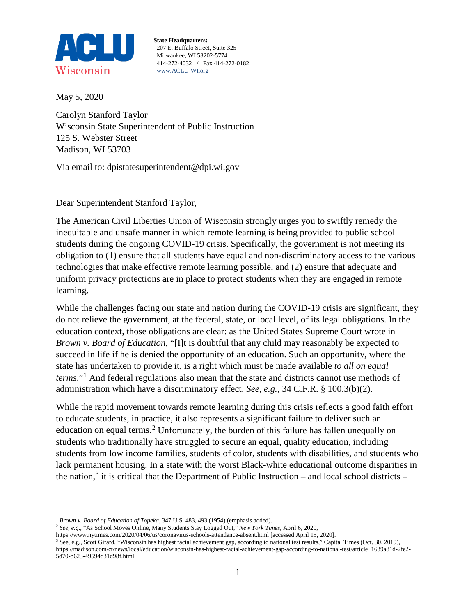

**State Headquarters:** 207 E. Buffalo Street, Suite 325 Milwaukee, WI 53202-5774 414-272-4032 / Fax 414-272-0182 www.ACLU-WI.org

May 5, 2020

Carolyn Stanford Taylor Wisconsin State Superintendent of Public Instruction 125 S. Webster Street Madison, WI 53703

Via email to: dpistatesuperintendent@dpi.wi.gov

Dear Superintendent Stanford Taylor,

The American Civil Liberties Union of Wisconsin strongly urges you to swiftly remedy the inequitable and unsafe manner in which remote learning is being provided to public school students during the ongoing COVID-19 crisis. Specifically, the government is not meeting its obligation to (1) ensure that all students have equal and non-discriminatory access to the various technologies that make effective remote learning possible, and (2) ensure that adequate and uniform privacy protections are in place to protect students when they are engaged in remote learning.

While the challenges facing our state and nation during the COVID-19 crisis are significant, they do not relieve the government, at the federal, state, or local level, of its legal obligations. In the education context, those obligations are clear: as the United States Supreme Court wrote in *Brown v. Board of Education*, "[I]t is doubtful that any child may reasonably be expected to succeed in life if he is denied the opportunity of an education. Such an opportunity, where the state has undertaken to provide it, is a right which must be made available *to all on equal terms*."[1](#page-0-0) And federal regulations also mean that the state and districts cannot use methods of administration which have a discriminatory effect. *See, e.g.*, 34 C.F.R. § 100.3(b)(2).

While the rapid movement towards remote learning during this crisis reflects a good faith effort to educate students, in practice, it also represents a significant failure to deliver such an education on equal terms.<sup>[2](#page-0-1)</sup> Unfortunately, the burden of this failure has fallen unequally on students who traditionally have struggled to secure an equal, quality education, including students from low income families, students of color, students with disabilities, and students who lack permanent housing. In a state with the worst Black-white educational outcome disparities in the nation,<sup>[3](#page-0-2)</sup> it is critical that the Department of Public Instruction – and local school districts –

<span id="page-0-0"></span><sup>&</sup>lt;sup>1</sup> Brown v. Board of Education of Topeka, 347 U.S. 483, 493 (1954) (emphasis added).

<span id="page-0-1"></span><sup>2</sup> *See, e.g.,* "As School Moves Online, Many Students Stay Logged Out," *New York Times*, April 6, 2020,

https://www.nytimes.com/2020/04/06/us/coronavirus-schools-attendance-absent.html [accessed April 15, 2020].

<span id="page-0-2"></span><sup>3</sup> See, e.g., Scott Girard, "Wisconsin has highest racial achievement gap, according to national test results," Capital Times (Oct. 30, 2019), [https://madison.com/ct/news/local/education/wisconsin-has-highest-racial-achievement-gap-according-to-national-test/article\\_1639a81d-2fe2-](https://madison.com/ct/news/local/education/wisconsin-has-highest-racial-achievement-gap-according-to-national-test/article_1639a81d-2fe2-5d70-b623-49594d31d98f.html) [5d70-b623-49594d31d98f.html](https://madison.com/ct/news/local/education/wisconsin-has-highest-racial-achievement-gap-according-to-national-test/article_1639a81d-2fe2-5d70-b623-49594d31d98f.html)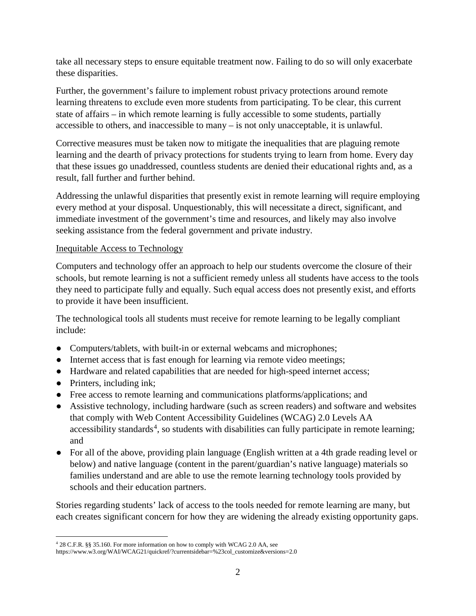take all necessary steps to ensure equitable treatment now. Failing to do so will only exacerbate these disparities.

Further, the government's failure to implement robust privacy protections around remote learning threatens to exclude even more students from participating. To be clear, this current state of affairs – in which remote learning is fully accessible to some students, partially accessible to others, and inaccessible to many – is not only unacceptable, it is unlawful.

Corrective measures must be taken now to mitigate the inequalities that are plaguing remote learning and the dearth of privacy protections for students trying to learn from home. Every day that these issues go unaddressed, countless students are denied their educational rights and, as a result, fall further and further behind.

Addressing the unlawful disparities that presently exist in remote learning will require employing every method at your disposal. Unquestionably, this will necessitate a direct, significant, and immediate investment of the government's time and resources, and likely may also involve seeking assistance from the federal government and private industry.

## Inequitable Access to Technology

Computers and technology offer an approach to help our students overcome the closure of their schools, but remote learning is not a sufficient remedy unless all students have access to the tools they need to participate fully and equally. Such equal access does not presently exist, and efforts to provide it have been insufficient.

The technological tools all students must receive for remote learning to be legally compliant include:

- Computers/tablets, with built-in or external webcams and microphones;
- Internet access that is fast enough for learning via remote video meetings;
- Hardware and related capabilities that are needed for high-speed internet access;
- Printers, including ink;
- Free access to remote learning and communications platforms/applications; and
- Assistive technology, including hardware (such as screen readers) and software and websites that comply with Web Content Accessibility Guidelines (WCAG) 2.0 Levels AA accessibility standards<sup>[4](#page-1-0)</sup>, so students with disabilities can fully participate in remote learning; and
- For all of the above, providing plain language (English written at a 4th grade reading level or below) and native language (content in the parent/guardian's native language) materials so families understand and are able to use the remote learning technology tools provided by schools and their education partners.

Stories regarding students' lack of access to the tools needed for remote learning are many, but each creates significant concern for how they are widening the already existing opportunity gaps.

<span id="page-1-0"></span> <sup>4</sup> 28 C.F.R. §§ 35.160. For more information on how to comply with WCAG 2.0 AA, see

https://www.w3.org/WAI/WCAG21/quickref/?currentsidebar=%23col\_customize&versions=2.0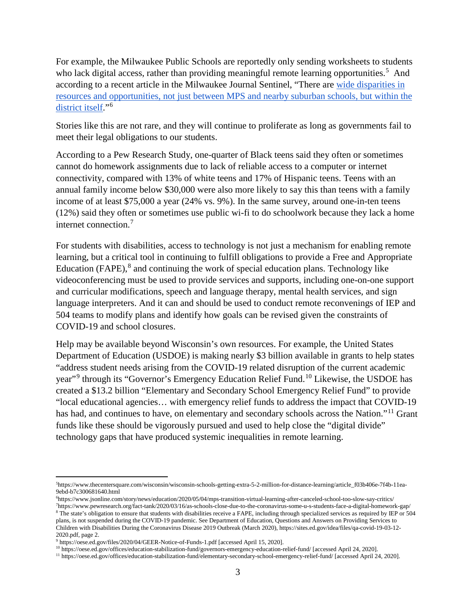For example, the Milwaukee Public Schools are reportedly only sending worksheets to students who lack digital access, rather than providing meaningful remote learning opportunities.<sup>[5](#page-2-0)</sup> And according to a recent article in the Milwaukee Journal Sentinel, "[There are wide disparities in](https://www.jsonline.com/story/news/education/2019/10/11/mps-vows-to-address-inequities-in-music-education-at-cost-of-26-million/3787699002/)  [resources and opportunities, not just between MPS and nearby suburban schools,](https://www.jsonline.com/story/news/education/2019/10/11/mps-vows-to-address-inequities-in-music-education-at-cost-of-26-million/3787699002/) but within the [district itself.](https://www.jsonline.com/story/news/education/2019/10/11/mps-vows-to-address-inequities-in-music-education-at-cost-of-26-million/3787699002/)"[6](#page-2-1)

Stories like this are not rare, and they will continue to proliferate as long as governments fail to meet their legal obligations to our students.

According to a Pew Research Study, one-quarter of Black teens said they often or sometimes cannot do homework assignments due to lack of reliable access to a computer or internet connectivity, compared with 13% of white teens and 17% of Hispanic teens. Teens with an annual family income below \$30,000 were also more likely to say this than teens with a family income of at least \$75,000 a year (24% vs. 9%). In the same survey, around one-in-ten teens (12%) said they often or sometimes use public wi-fi to do schoolwork because they lack a home internet connection.[7](#page-2-2)

For students with disabilities, access to technology is not just a mechanism for enabling remote learning, but a critical tool in continuing to fulfill obligations to provide a Free and Appropriate Education (FAPE), $<sup>8</sup>$  $<sup>8</sup>$  $<sup>8</sup>$  and continuing the work of special education plans. Technology like</sup> videoconferencing must be used to provide services and supports, including one-on-one support and curricular modifications, speech and language therapy, mental health services, and sign language interpreters. And it can and should be used to conduct remote reconvenings of IEP and 504 teams to modify plans and identify how goals can be revised given the constraints of COVID-19 and school closures.

Help may be available beyond Wisconsin's own resources. For example, the United States Department of Education (USDOE) is making nearly \$3 billion available in grants to help states "address student needs arising from the COVID-19 related disruption of the current academic year"<sup>[9](#page-2-4)</sup> through its "Governor's Emergency Education Relief Fund.<sup>[10](#page-2-5)</sup> Likewise, the USDOE has created a \$13.2 billion "Elementary and Secondary School Emergency Relief Fund" to provide "local educational agencies… with emergency relief funds to address the impact that COVID-19 has had, and continues to have, on elementary and secondary schools across the Nation."<sup>[11](#page-2-6)</sup> Grant funds like these should be vigorously pursued and used to help close the "digital divide" technology gaps that have produced systemic inequalities in remote learning.

<span id="page-2-0"></span> $\frac{1}{5}$ [https://www.thecentersquare.com/wisconsin/wisconsin-schools-getting-extra-5-2-million-for-distance-learning/article\\_f03b406e-7f4b-11ea-](https://www.thecentersquare.com/wisconsin/wisconsin-schools-getting-extra-5-2-million-for-distance-learning/article_f03b406e-7f4b-11ea-9ebd-b7c300681640.html)[9ebd-b7c300681640.html](https://www.thecentersquare.com/wisconsin/wisconsin-schools-getting-extra-5-2-million-for-distance-learning/article_f03b406e-7f4b-11ea-9ebd-b7c300681640.html)

<span id="page-2-1"></span><sup>6</sup> https://www.jsonline.com/story/news/education/2020/05/04/mps-transition-virtual-learning-after-canceled-school-too-slow-say-critics/ 7 https://www.pewresearch.org/fact-tank/2020/03/16/as-schools-close-due-to-the-coronavirus-some-u-s-students-face-a-digital-homework-gap/ <sup>8</sup> The state's obligation to ensure that students with disabilities receive a FAPE, including through specialized services as required by IEP or 504

<span id="page-2-3"></span><span id="page-2-2"></span>plans, is not suspended during the COVID-19 pandemic. See Department of Education, Questions and Answers on Providing Services to Children with Disabilities During the Coronavirus Disease 2019 Outbreak (March 2020), https://sites.ed.gov/idea/files/qa-covid-19-03-12- 2020.pdf, page 2.

<span id="page-2-4"></span><sup>9</sup> https://oese.ed.gov/files/2020/04/GEER-Notice-of-Funds-1.pdf [accessed April 15, 2020].

<sup>10</sup> https://oese.ed.gov/offices/education-stabilization-fund/governors-emergency-education-relief-fund/ [accessed April 24, 2020].

<span id="page-2-6"></span><span id="page-2-5"></span><sup>11</sup> https://oese.ed.gov/offices/education-stabilization-fund/elementary-secondary-school-emergency-relief-fund/ [accessed April 24, 2020].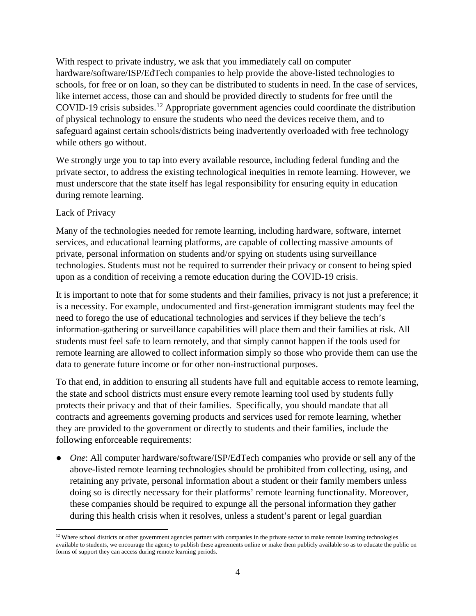With respect to private industry, we ask that you immediately call on computer hardware/software/ISP/EdTech companies to help provide the above-listed technologies to schools, for free or on loan, so they can be distributed to students in need. In the case of services, like internet access, those can and should be provided directly to students for free until the COVID-19 crisis subsides.<sup>[12](#page-3-0)</sup> Appropriate government agencies could coordinate the distribution of physical technology to ensure the students who need the devices receive them, and to safeguard against certain schools/districts being inadvertently overloaded with free technology while others go without.

We strongly urge you to tap into every available resource, including federal funding and the private sector, to address the existing technological inequities in remote learning. However, we must underscore that the state itself has legal responsibility for ensuring equity in education during remote learning.

## Lack of Privacy

Many of the technologies needed for remote learning, including hardware, software, internet services, and educational learning platforms, are capable of collecting massive amounts of private, personal information on students and/or spying on students using surveillance technologies. Students must not be required to surrender their privacy or consent to being spied upon as a condition of receiving a remote education during the COVID-19 crisis.

It is important to note that for some students and their families, privacy is not just a preference; it is a necessity. For example, undocumented and first-generation immigrant students may feel the need to forego the use of educational technologies and services if they believe the tech's information-gathering or surveillance capabilities will place them and their families at risk. All students must feel safe to learn remotely, and that simply cannot happen if the tools used for remote learning are allowed to collect information simply so those who provide them can use the data to generate future income or for other non-instructional purposes.

To that end, in addition to ensuring all students have full and equitable access to remote learning, the state and school districts must ensure every remote learning tool used by students fully protects their privacy and that of their families. Specifically, you should mandate that all contracts and agreements governing products and services used for remote learning, whether they are provided to the government or directly to students and their families, include the following enforceable requirements:

● *One*: All computer hardware/software/ISP/EdTech companies who provide or sell any of the above-listed remote learning technologies should be prohibited from collecting, using, and retaining any private, personal information about a student or their family members unless doing so is directly necessary for their platforms' remote learning functionality. Moreover, these companies should be required to expunge all the personal information they gather during this health crisis when it resolves, unless a student's parent or legal guardian

<span id="page-3-0"></span><sup>&</sup>lt;sup>12</sup> Where school districts or other government agencies partner with companies in the private sector to make remote learning technologies available to students, we encourage the agency to publish these agreements online or make them publicly available so as to educate the public on forms of support they can access during remote learning periods.